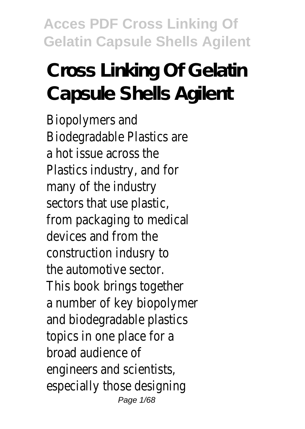# **Cross Linking Of Gelatin Capsule Shells Agilent**

Biopolymers and Biodegradable Plastics are a hot issue across the Plastics industry, and for many of the industry sectors that use plastic, from packaging to medical devices and from the construction indusry to the automotive sector. This book brings together a number of key biopolymer and biodegradable plastics topics in one place for a broad audience of engineers and scientists, especially those designing Page 1/68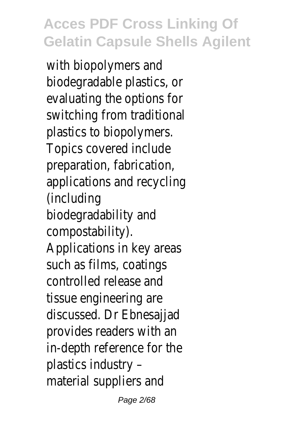with biopolymers and biodegradable plastics, or evaluating the options for switching from traditional plastics to biopolymers. Topics covered include preparation, fabrication, applications and recycling (including biodegradability and compostability). Applications in key areas such as films, coatings controlled release and tissue engineering are discussed. Dr Ebnesajjad provides readers with an in-depth reference for the plastics industry – material suppliers and

Page 2/68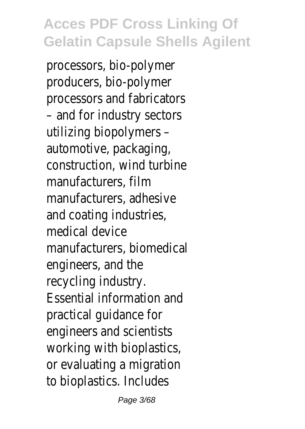processors, bio-polymer producers, bio-polymer processors and fabricators – and for industry sectors utilizing biopolymers – automotive, packaging, construction, wind turbine manufacturers, film manufacturers, adhesive and coating industries, medical device manufacturers, biomedical engineers, and the recycling industry. Essential information and practical guidance for engineers and scientists working with bioplastics, or evaluating a migration to bioplastics. Includes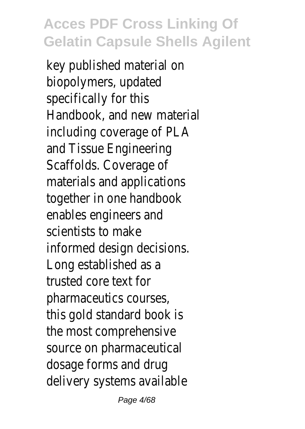key published material on biopolymers, updated specifically for this Handbook, and new material including coverage of PLA and Tissue Engineering Scaffolds. Coverage of materials and applications together in one handbook enables engineers and scientists to make informed design decisions. Long established as a trusted core text for pharmaceutics courses, this gold standard book is the most comprehensive source on pharmaceutical dosage forms and drug delivery systems available

Page 4/68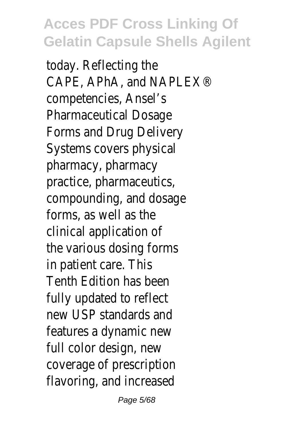today. Reflecting the CAPE, APhA, and NAPLEX® competencies, Ansel's Pharmaceutical Dosage Forms and Drug Delivery Systems covers physical pharmacy, pharmacy practice, pharmaceutics, compounding, and dosage forms, as well as the clinical application of the various dosing forms in patient care. This Tenth Edition has been fully updated to reflect new USP standards and features a dynamic new full color design, new coverage of prescription flavoring, and increased

Page 5/68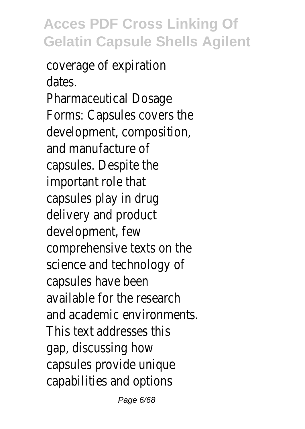coverage of expiration dates. Pharmaceutical Dosage Forms: Capsules covers the development, composition, and manufacture of capsules. Despite the important role that capsules play in drug delivery and product development, few comprehensive texts on the science and technology of capsules have been available for the research and academic environments. This text addresses this gap, discussing how capsules provide unique capabilities and options

Page 6/68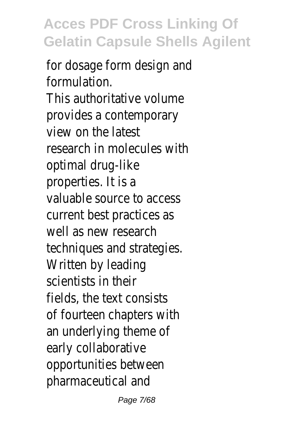for dosage form design and formulation. This authoritative volume provides a contemporary view on the latest research in molecules with optimal drug-like properties. It is a valuable source to access current best practices as well as new research techniques and strategies. Written by leading scientists in their fields, the text consists of fourteen chapters with an underlying theme of early collaborative opportunities between pharmaceutical and

Page 7/68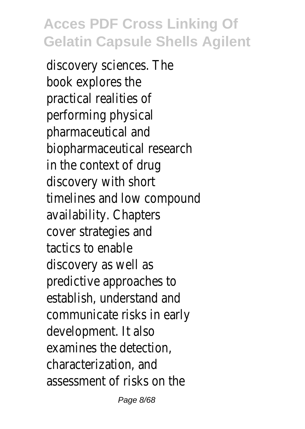discovery sciences. The book explores the practical realities of performing physical pharmaceutical and biopharmaceutical research in the context of drug discovery with short timelines and low compound availability. Chapters cover strategies and tactics to enable discovery as well as predictive approaches to establish, understand and communicate risks in early development. It also examines the detection, characterization, and assessment of risks on the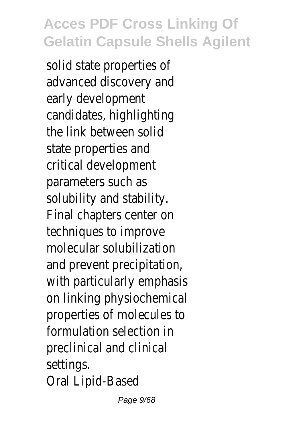solid state properties of advanced discovery and early development candidates, highlighting the link between solid state properties and critical development parameters such as solubility and stability. Final chapters center on techniques to improve molecular solubilization and prevent precipitation, with particularly emphasis on linking physiochemical properties of molecules to formulation selection in preclinical and clinical settings. Oral Lipid-Based

Page 9/68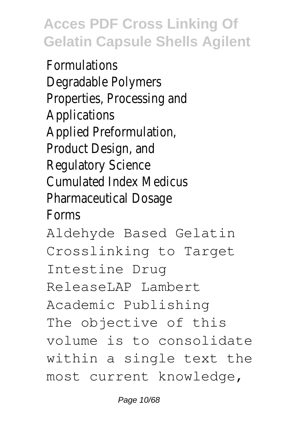Formulations Degradable Polymers Properties, Processing and Applications Applied Preformulation, Product Design, and Regulatory Science Cumulated Index Medicus Pharmaceutical Dosage Forms Aldehyde Based Gelatin Crosslinking to Target Intestine Drug ReleaseLAP Lambert Academic Publishing

The objective of this volume is to consolidate within a single text the most current knowledge,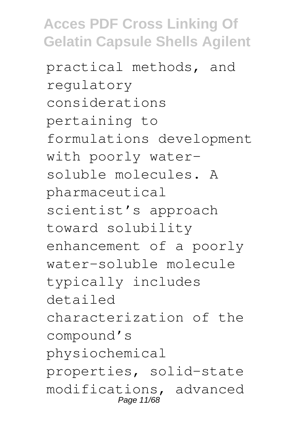practical methods, and regulatory considerations pertaining to formulations development with poorly watersoluble molecules. A pharmaceutical scientist's approach toward solubility enhancement of a poorly water-soluble molecule typically includes detailed characterization of the compound's physiochemical properties, solid-state modifications, advanced Page 11/68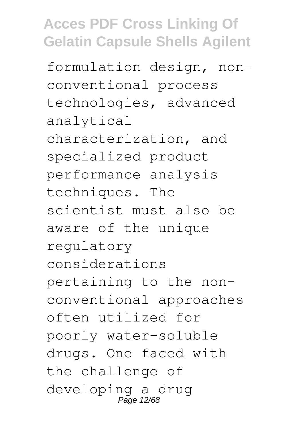formulation design, nonconventional process technologies, advanced analytical characterization, and specialized product performance analysis techniques. The scientist must also be aware of the unique regulatory considerations pertaining to the nonconventional approaches often utilized for poorly water-soluble drugs. One faced with the challenge of developing a drug Page 12/68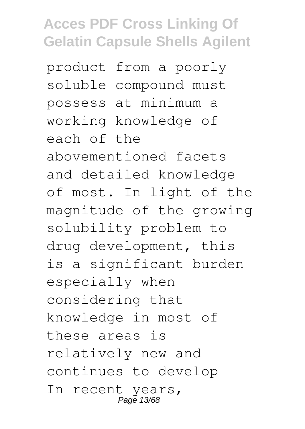product from a poorly soluble compound must possess at minimum a working knowledge of each of the abovementioned facets and detailed knowledge of most. In light of the magnitude of the growing solubility problem to drug development, this is a significant burden especially when considering that knowledge in most of these areas is relatively new and continues to develop In recent years, Page 13/68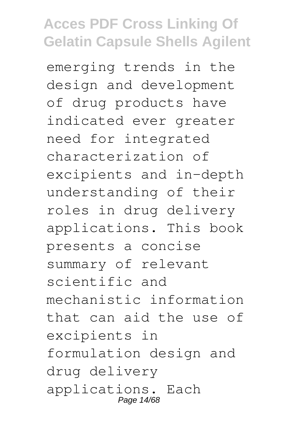emerging trends in the design and development of drug products have indicated ever greater need for integrated characterization of excipients and in-depth understanding of their roles in drug delivery applications. This book presents a concise summary of relevant scientific and mechanistic information that can aid the use of excipients in formulation design and drug delivery applications. Each Page 14/68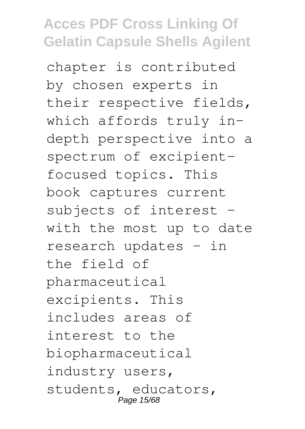chapter is contributed by chosen experts in their respective fields, which affords truly indepth perspective into a spectrum of excipientfocused topics. This book captures current subjects of interest – with the most up to date research updates – in the field of pharmaceutical excipients. This includes areas of interest to the biopharmaceutical industry users, students, educators, Page 15/6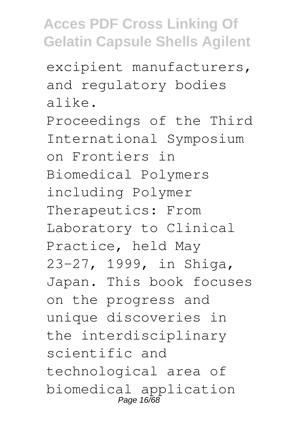excipient manufacturers, and regulatory bodies alike. Proceedings of the Third International Symposium on Frontiers in Biomedical Polymers including Polymer Therapeutics: From Laboratory to Clinical Practice, held May 23-27, 1999, in Shiga, Japan. This book focuses on the progress and unique discoveries in the interdisciplinary scientific and technological area of biomedical application Page 16/68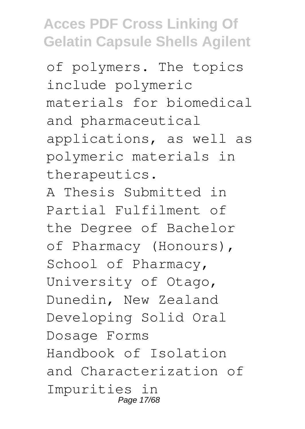of polymers. The topics include polymeric materials for biomedical and pharmaceutical applications, as well as polymeric materials in therapeutics.

A Thesis Submitted in Partial Fulfilment of the Degree of Bachelor of Pharmacy (Honours), School of Pharmacy, University of Otago, Dunedin, New Zealand Developing Solid Oral Dosage Forms Handbook of Isolation and Characterization of Impurities in Page 17/68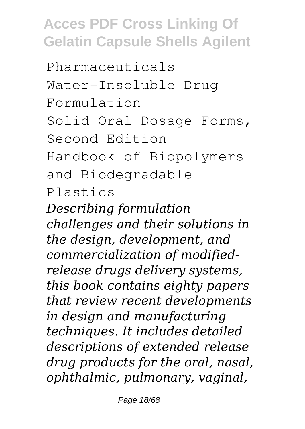Pharmaceuticals Water-Insoluble Drug Formulation Solid Oral Dosage Forms, Second Edition Handbook of Biopolymers and Biodegradable Plastics

*Describing formulation challenges and their solutions in the design, development, and commercialization of modifiedrelease drugs delivery systems, this book contains eighty papers that review recent developments in design and manufacturing techniques. It includes detailed descriptions of extended release drug products for the oral, nasal, ophthalmic, pulmonary, vaginal,*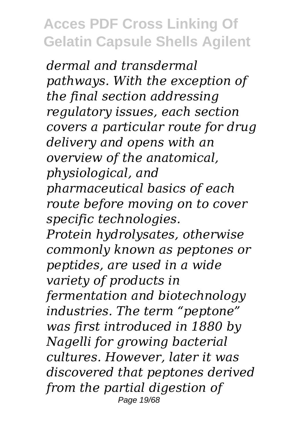*dermal and transdermal pathways. With the exception of the final section addressing regulatory issues, each section covers a particular route for drug delivery and opens with an overview of the anatomical, physiological, and pharmaceutical basics of each route before moving on to cover specific technologies. Protein hydrolysates, otherwise commonly known as peptones or peptides, are used in a wide variety of products in fermentation and biotechnology industries. The term "peptone" was first introduced in 1880 by Nagelli for growing bacterial cultures. However, later it was discovered that peptones derived from the partial digestion of* Page 19/68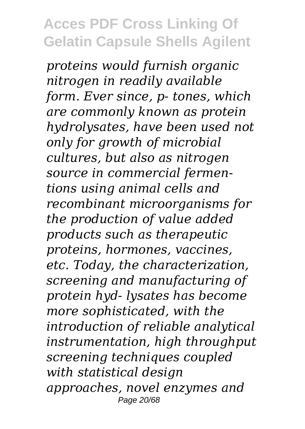*proteins would furnish organic nitrogen in readily available form. Ever since, p- tones, which are commonly known as protein hydrolysates, have been used not only for growth of microbial cultures, but also as nitrogen source in commercial fermentions using animal cells and recombinant microorganisms for the production of value added products such as therapeutic proteins, hormones, vaccines, etc. Today, the characterization, screening and manufacturing of protein hyd- lysates has become more sophisticated, with the introduction of reliable analytical instrumentation, high throughput screening techniques coupled with statistical design approaches, novel enzymes and* Page 20/68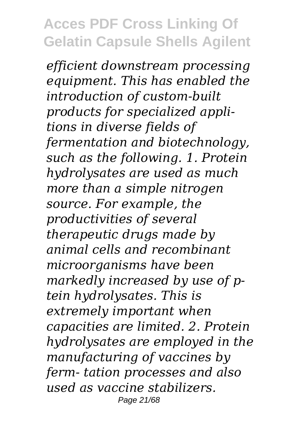*efficient downstream processing equipment. This has enabled the introduction of custom-built products for specialized applitions in diverse fields of fermentation and biotechnology, such as the following. 1. Protein hydrolysates are used as much more than a simple nitrogen source. For example, the productivities of several therapeutic drugs made by animal cells and recombinant microorganisms have been markedly increased by use of ptein hydrolysates. This is extremely important when capacities are limited. 2. Protein hydrolysates are employed in the manufacturing of vaccines by ferm- tation processes and also used as vaccine stabilizers.* Page 21/68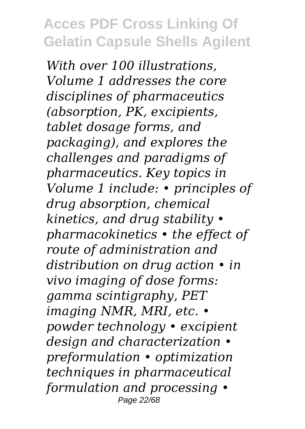*With over 100 illustrations, Volume 1 addresses the core disciplines of pharmaceutics (absorption, PK, excipients, tablet dosage forms, and packaging), and explores the challenges and paradigms of pharmaceutics. Key topics in Volume 1 include: • principles of drug absorption, chemical kinetics, and drug stability • pharmacokinetics • the effect of route of administration and distribution on drug action • in vivo imaging of dose forms: gamma scintigraphy, PET imaging NMR, MRI, etc. • powder technology • excipient design and characterization • preformulation • optimization techniques in pharmaceutical formulation and processing •* Page 22/68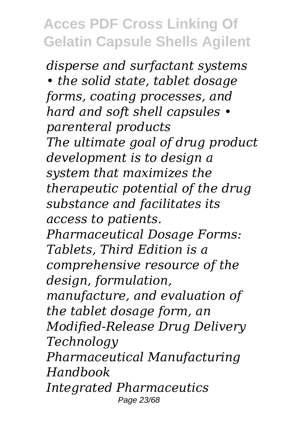*disperse and surfactant systems • the solid state, tablet dosage forms, coating processes, and hard and soft shell capsules • parenteral products The ultimate goal of drug product development is to design a system that maximizes the therapeutic potential of the drug substance and facilitates its access to patients. Pharmaceutical Dosage Forms: Tablets, Third Edition is a comprehensive resource of the design, formulation, manufacture, and evaluation of the tablet dosage form, an Modified-Release Drug Delivery Technology Pharmaceutical Manufacturing Handbook Integrated Pharmaceutics* Page 23/68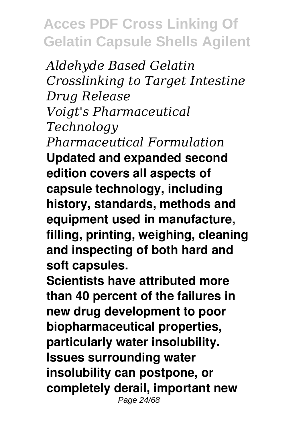*Aldehyde Based Gelatin Crosslinking to Target Intestine Drug Release Voigt's Pharmaceutical Technology Pharmaceutical Formulation* **Updated and expanded second edition covers all aspects of capsule technology, including history, standards, methods and equipment used in manufacture, filling, printing, weighing, cleaning and inspecting of both hard and soft capsules.**

**Scientists have attributed more than 40 percent of the failures in new drug development to poor biopharmaceutical properties, particularly water insolubility. Issues surrounding water insolubility can postpone, or completely derail, important new** Page 24/68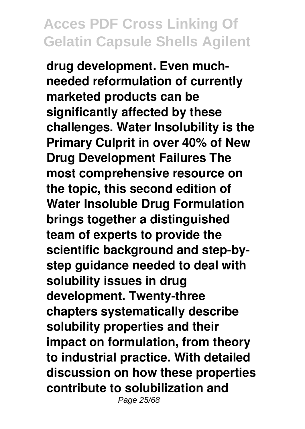**drug development. Even muchneeded reformulation of currently marketed products can be significantly affected by these challenges. Water Insolubility is the Primary Culprit in over 40% of New Drug Development Failures The most comprehensive resource on the topic, this second edition of Water Insoluble Drug Formulation brings together a distinguished team of experts to provide the scientific background and step-bystep guidance needed to deal with solubility issues in drug development. Twenty-three chapters systematically describe solubility properties and their impact on formulation, from theory to industrial practice. With detailed discussion on how these properties contribute to solubilization and** Page 25/68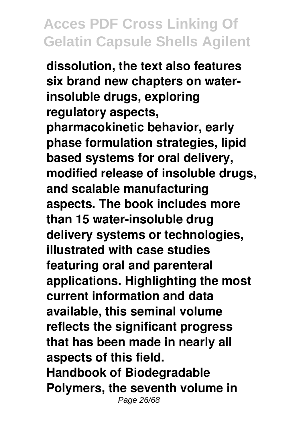**dissolution, the text also features six brand new chapters on waterinsoluble drugs, exploring regulatory aspects, pharmacokinetic behavior, early phase formulation strategies, lipid based systems for oral delivery, modified release of insoluble drugs, and scalable manufacturing aspects. The book includes more than 15 water-insoluble drug delivery systems or technologies, illustrated with case studies featuring oral and parenteral applications. Highlighting the most current information and data available, this seminal volume reflects the significant progress that has been made in nearly all aspects of this field. Handbook of Biodegradable Polymers, the seventh volume in** Page 26/68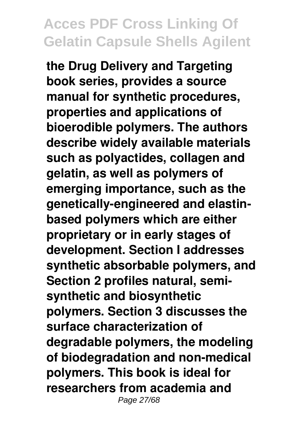**the Drug Delivery and Targeting book series, provides a source manual for synthetic procedures, properties and applications of bioerodible polymers. The authors describe widely available materials such as polyactides, collagen and gelatin, as well as polymers of emerging importance, such as the genetically-engineered and elastinbased polymers which are either proprietary or in early stages of development. Section I addresses synthetic absorbable polymers, and Section 2 profiles natural, semisynthetic and biosynthetic polymers. Section 3 discusses the surface characterization of degradable polymers, the modeling of biodegradation and non-medical polymers. This book is ideal for researchers from academia and** Page 27/68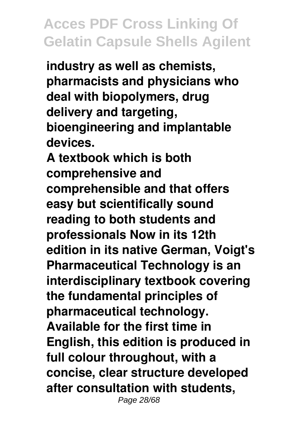**industry as well as chemists, pharmacists and physicians who deal with biopolymers, drug delivery and targeting, bioengineering and implantable devices.**

**A textbook which is both comprehensive and comprehensible and that offers easy but scientifically sound reading to both students and professionals Now in its 12th edition in its native German, Voigt's Pharmaceutical Technology is an interdisciplinary textbook covering the fundamental principles of pharmaceutical technology. Available for the first time in English, this edition is produced in full colour throughout, with a concise, clear structure developed after consultation with students,** Page 28/68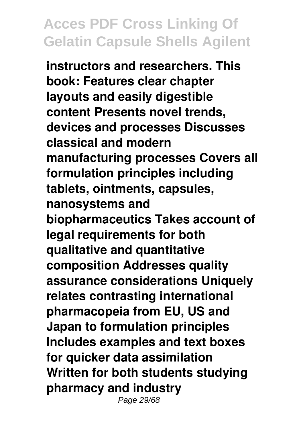**instructors and researchers. This book: Features clear chapter layouts and easily digestible content Presents novel trends, devices and processes Discusses classical and modern manufacturing processes Covers all formulation principles including tablets, ointments, capsules, nanosystems and biopharmaceutics Takes account of legal requirements for both qualitative and quantitative composition Addresses quality assurance considerations Uniquely relates contrasting international pharmacopeia from EU, US and Japan to formulation principles Includes examples and text boxes for quicker data assimilation Written for both students studying pharmacy and industry** Page 29/68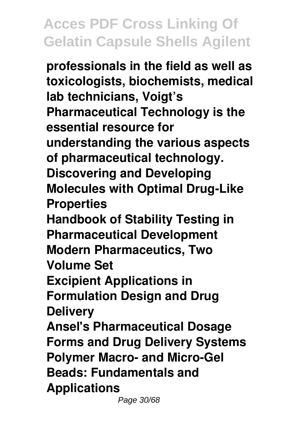**professionals in the field as well as toxicologists, biochemists, medical lab technicians, Voigt's Pharmaceutical Technology is the essential resource for understanding the various aspects of pharmaceutical technology. Discovering and Developing Molecules with Optimal Drug-Like Properties Handbook of Stability Testing in Pharmaceutical Development Modern Pharmaceutics, Two Volume Set Excipient Applications in Formulation Design and Drug Delivery Ansel's Pharmaceutical Dosage Forms and Drug Delivery Systems Polymer Macro- and Micro-Gel Beads: Fundamentals and Applications**

Page 30/68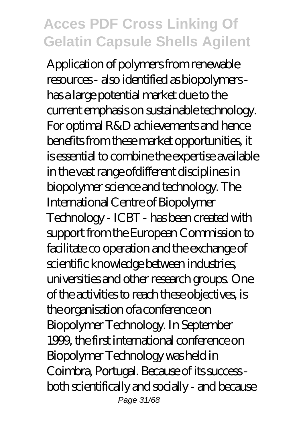Application of polymers from renewable resources - also identified as biopolymers has a large potential market due to the current emphasis on sustainable technology. For optimal R&D achievements and hence benefits from these market opportunities, it is essential to combine the expertise available in the vast range ofdifferent disciplines in biopolymer science and technology. The International Centre of Biopolymer Technology - ICBT - has been created with support from the European Commission to facilitate co operation and the exchange of scientific knowledge between industries, universities and other research groups. One of the activities to reach these objectives, is the organisation ofa conference on Biopolymer Technology. In September 1999, the first international conference on Biopolymer Technology was held in Coimbra, Portugal. Because of its success both scientifically and socially - and because Page 31/68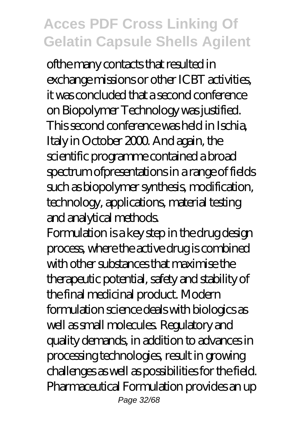ofthe many contacts that resulted in exchange missions or other ICBT activities, it was concluded that a second conference on Biopolymer Technology was justified. This second conference was held in Ischia, Italy in October 2000. And again, the scientific programme contained a broad spectrum ofpresentations in a range of fields such as biopolymer synthesis, modification, technology, applications, material testing and analytical methods.

Formulation is a key step in the drug design process, where the active drug is combined with other substances that maximise the therapeutic potential, safety and stability of the final medicinal product. Modern formulation science deals with biologics as well as small molecules. Regulatory and quality demands, in addition to advances in processing technologies, result in growing challenges as well as possibilities for the field. Pharmaceutical Formulation provides an up Page 32/68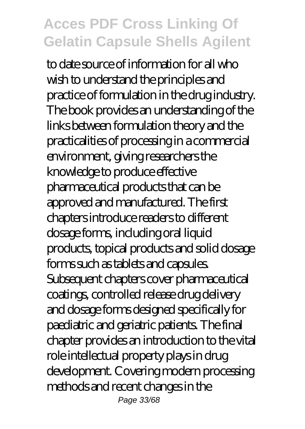to date source of information for all who wish to understand the principles and practice of formulation in the drug industry. The book provides an understanding of the links between formulation theory and the practicalities of processing in a commercial environment, giving researchers the knowledge to produce effective pharmaceutical products that can be approved and manufactured. The first chapters introduce readers to different dosage forms, including oral liquid products, topical products and solid dosage forms such as tablets and capsules. Subsequent chapters cover pharmaceutical coatings, controlled release drug delivery and dosage forms designed specifically for paediatric and geriatric patients. The final chapter provides an introduction to the vital role intellectual property plays in drug development. Covering modern processing methods and recent changes in the Page 33/68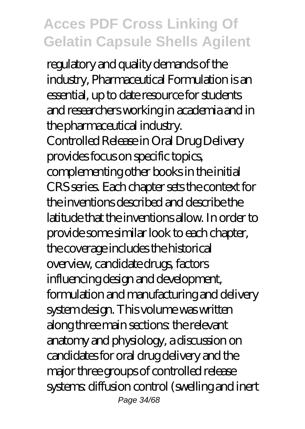regulatory and quality demands of the industry, Pharmaceutical Formulation is an essential, up to date resource for students and researchers working in academia and in the pharmaceutical industry. Controlled Release in Oral Drug Delivery provides focus on specific topics, complementing other books in the initial CRS series. Each chapter sets the context for the inventions described and describe the latitude that the inventions allow. In order to provide some similar look to each chapter, the coverage includes the historical overview, candidate drugs, factors influencing design and development, formulation and manufacturing and delivery system design. This volume was written along three main sections: the relevant anatomy and physiology, a discussion on candidates for oral drug delivery and the major three groups of controlled release systems: diffusion control (swelling and inert Page 34/68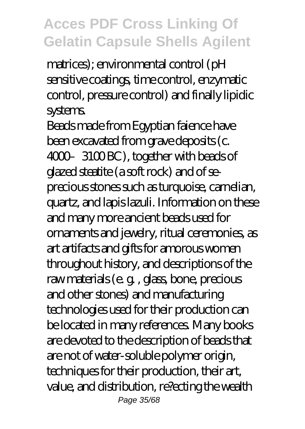matrices); environmental control (pH sensitive coatings, time control, enzymatic control, pressure control) and finally lipidic systems.

Beads made from Egyptian faience have been excavated from grave deposits (c. 4000-3100 BC), together with beads of glazed steatite (a soft rock) and of seprecious stones such as turquoise, carnelian, quartz, and lapis lazuli. Information on these and many more ancient beads used for ornaments and jewelry, ritual ceremonies, as art artifacts and gifts for amorous women throughout history, and descriptions of the raw materials (e. g. , glass, bone, precious and other stones) and manufacturing technologies used for their production can be located in many references. Many books are devoted to the description of beads that are not of water-soluble polymer origin, techniques for their production, their art, value, and distribution, re?ecting the wealth Page 35/68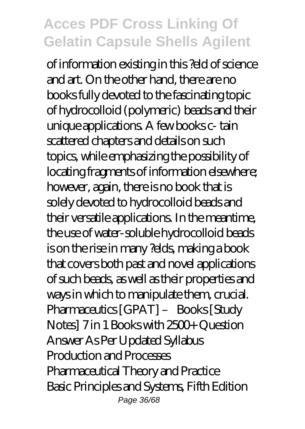of information existing in this ?eld of science and art. On the other hand, there are no books fully devoted to the fascinating topic of hydrocolloid (polymeric) beads and their unique applications. A few books c- tain scattered chapters and details on such topics, while emphasizing the possibility of locating fragments of information elsewhere; however, again, there is no book that is solely devoted to hydrocolloid beads and their versatile applications. In the meantime, the use of water-soluble hydrocolloid beads is on the rise in many ?elds, making a book that covers both past and novel applications of such beads, as well as their properties and ways in which to manipulate them, crucial. Pharmaceutics [GPAT] – Books [Study Notes] 7 in 1 Books with 2500+ Question Answer As Per Updated Syllabus Production and Processes Pharmaceutical Theory and Practice Basic Principles and Systems, Fifth Edition Page 36/68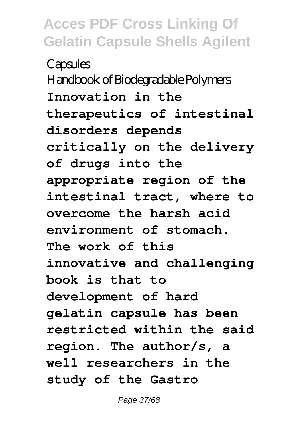**Capsules** Handbook of Biodegradable Polymers **Innovation in the therapeutics of intestinal disorders depends critically on the delivery of drugs into the appropriate region of the intestinal tract, where to overcome the harsh acid environment of stomach. The work of this innovative and challenging book is that to development of hard gelatin capsule has been restricted within the said region. The author/s, a well researchers in the study of the Gastro**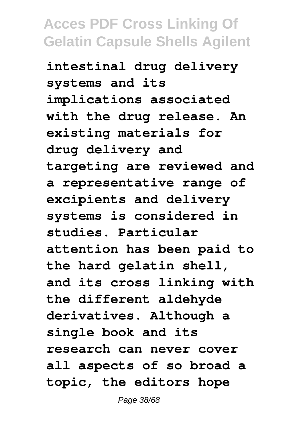**intestinal drug delivery systems and its implications associated with the drug release. An existing materials for drug delivery and targeting are reviewed and a representative range of excipients and delivery systems is considered in studies. Particular attention has been paid to the hard gelatin shell, and its cross linking with the different aldehyde derivatives. Although a single book and its research can never cover all aspects of so broad a topic, the editors hope**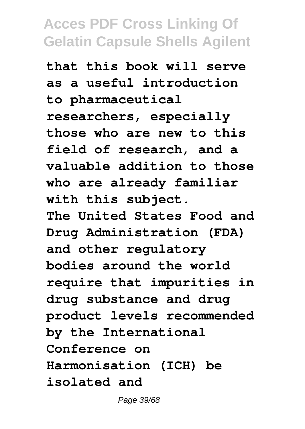**that this book will serve as a useful introduction to pharmaceutical researchers, especially those who are new to this field of research, and a valuable addition to those who are already familiar with this subject. The United States Food and Drug Administration (FDA) and other regulatory bodies around the world require that impurities in drug substance and drug product levels recommended by the International Conference on Harmonisation (ICH) be isolated and**

Page 39/68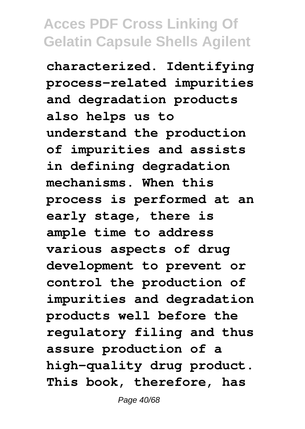**characterized. Identifying process-related impurities and degradation products also helps us to understand the production of impurities and assists in defining degradation mechanisms. When this process is performed at an early stage, there is ample time to address various aspects of drug development to prevent or control the production of impurities and degradation products well before the regulatory filing and thus assure production of a high-quality drug product. This book, therefore, has**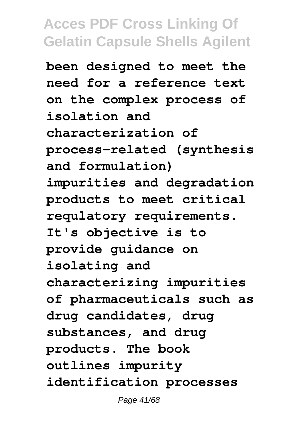**been designed to meet the need for a reference text on the complex process of isolation and characterization of process-related (synthesis and formulation) impurities and degradation products to meet critical requlatory requirements. It's objective is to provide guidance on isolating and characterizing impurities of pharmaceuticals such as drug candidates, drug substances, and drug products. The book outlines impurity identification processes**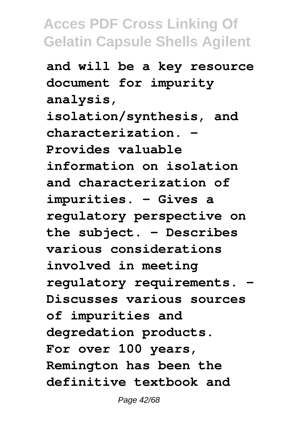**and will be a key resource document for impurity analysis, isolation/synthesis, and characterization. - Provides valuable information on isolation and characterization of impurities. - Gives a regulatory perspective on the subject. - Describes various considerations involved in meeting regulatory requirements. - Discusses various sources of impurities and degredation products. For over 100 years, Remington has been the definitive textbook and**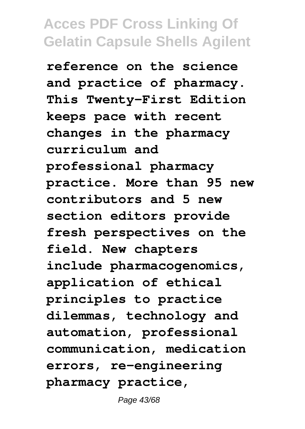**reference on the science and practice of pharmacy. This Twenty-First Edition keeps pace with recent changes in the pharmacy curriculum and professional pharmacy practice. More than 95 new contributors and 5 new section editors provide fresh perspectives on the field. New chapters include pharmacogenomics, application of ethical principles to practice dilemmas, technology and automation, professional communication, medication errors, re-engineering pharmacy practice,**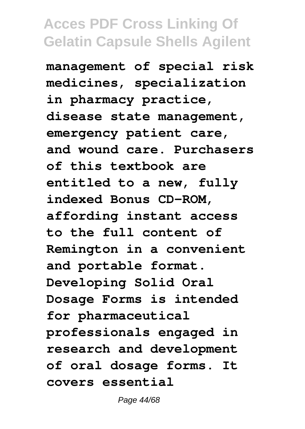**management of special risk medicines, specialization in pharmacy practice, disease state management, emergency patient care, and wound care. Purchasers of this textbook are entitled to a new, fully indexed Bonus CD-ROM, affording instant access to the full content of Remington in a convenient and portable format. Developing Solid Oral Dosage Forms is intended for pharmaceutical professionals engaged in research and development of oral dosage forms. It covers essential**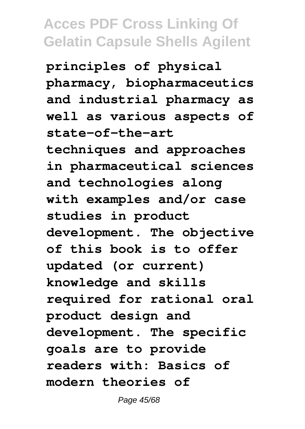**principles of physical pharmacy, biopharmaceutics and industrial pharmacy as well as various aspects of state-of-the-art techniques and approaches in pharmaceutical sciences and technologies along with examples and/or case studies in product development. The objective of this book is to offer updated (or current) knowledge and skills required for rational oral product design and development. The specific goals are to provide readers with: Basics of modern theories of**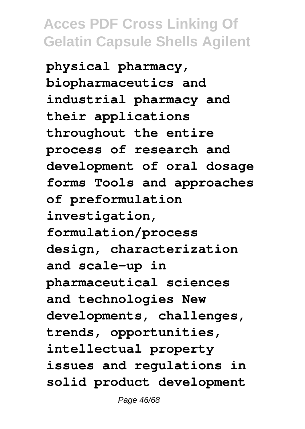**physical pharmacy, biopharmaceutics and industrial pharmacy and their applications throughout the entire process of research and development of oral dosage forms Tools and approaches of preformulation investigation, formulation/process design, characterization and scale-up in pharmaceutical sciences and technologies New developments, challenges, trends, opportunities, intellectual property issues and regulations in solid product development**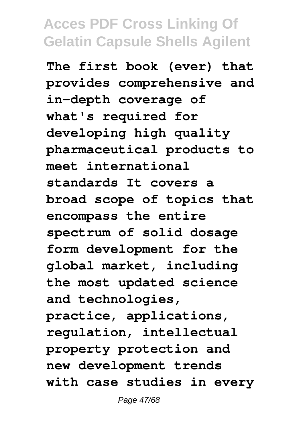**The first book (ever) that provides comprehensive and in-depth coverage of what's required for developing high quality pharmaceutical products to meet international standards It covers a broad scope of topics that encompass the entire spectrum of solid dosage form development for the global market, including the most updated science and technologies, practice, applications, regulation, intellectual property protection and new development trends with case studies in every**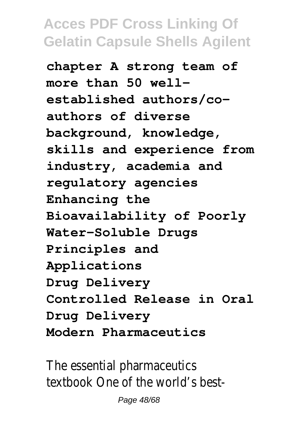**chapter A strong team of more than 50 wellestablished authors/coauthors of diverse background, knowledge, skills and experience from industry, academia and regulatory agencies Enhancing the Bioavailability of Poorly Water-Soluble Drugs Principles and Applications Drug Delivery Controlled Release in Oral Drug Delivery Modern Pharmaceutics**

The essential pharmaceutics textbook One of the world's best-

Page 48/68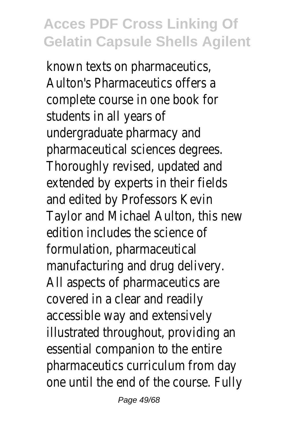known texts on pharmaceutics, Aulton's Pharmaceutics offers a complete course in one book for students in all years of undergraduate pharmacy and pharmaceutical sciences degrees. Thoroughly revised, updated and extended by experts in their fields and edited by Professors Kevin Taylor and Michael Aulton, this new edition includes the science of formulation, pharmaceutical manufacturing and drug delivery. All aspects of pharmaceutics are covered in a clear and readily accessible way and extensively illustrated throughout, providing an essential companion to the entire pharmaceutics curriculum from day one until the end of the course. Fully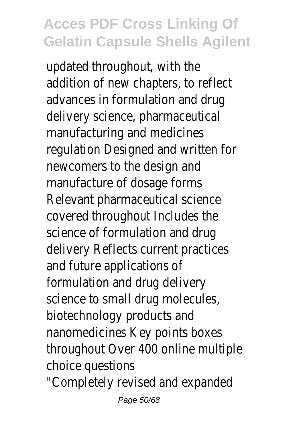updated throughout, with the addition of new chapters, to reflect advances in formulation and drug delivery science, pharmaceutical manufacturing and medicines regulation Designed and written for newcomers to the design and manufacture of dosage forms Relevant pharmaceutical science covered throughout Includes the science of formulation and drug delivery Reflects current practices and future applications of formulation and drug delivery science to small drug molecules, biotechnology products and nanomedicines Key points boxes throughout Over 400 online multiple choice questions "Completely revised and expanded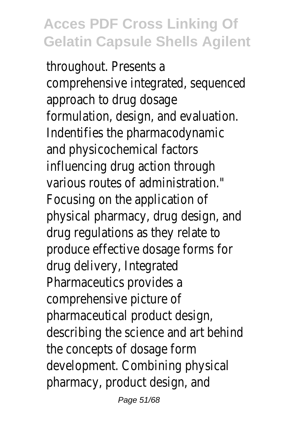throughout. Presents a comprehensive integrated, sequenced approach to drug dosage formulation, design, and evaluation. Indentifies the pharmacodynamic and physicochemical factors influencing drug action through various routes of administration." Focusing on the application of physical pharmacy, drug design, and drug regulations as they relate to produce effective dosage forms for drug delivery, Integrated Pharmaceutics provides a comprehensive picture of pharmaceutical product design, describing the science and art behind the concepts of dosage form development. Combining physical pharmacy, product design, and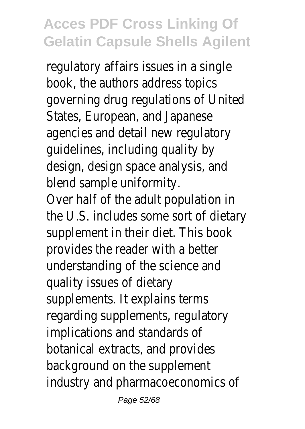regulatory affairs issues in a single book, the authors address topics governing drug regulations of United States, European, and Japanese agencies and detail new regulatory guidelines, including quality by design, design space analysis, and blend sample uniformity.

Over half of the adult population in the U.S. includes some sort of dietary supplement in their diet. This book provides the reader with a better understanding of the science and quality issues of dietary supplements. It explains terms regarding supplements, regulatory implications and standards of botanical extracts, and provides background on the supplement industry and pharmacoeconomics of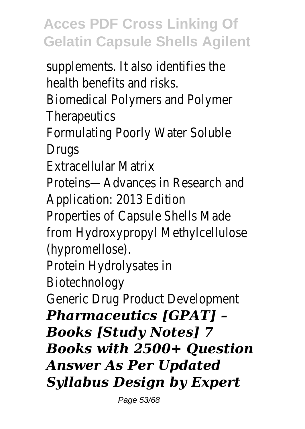supplements. It also identifies the health benefits and risks.

Biomedical Polymers and Polymer **Therapeutics** 

Formulating Poorly Water Soluble **Drugs** 

Extracellular Matrix

Proteins—Advances in Research and Application: 2013 Edition

Properties of Capsule Shells Made from Hydroxypropyl Methylcellulose (hypromellose).

Protein Hydrolysates in

Biotechnology

Generic Drug Product Development

*Pharmaceutics [GPAT] – Books [Study Notes] 7 Books with 2500+ Question Answer As Per Updated Syllabus Design by Expert*

Page 53/68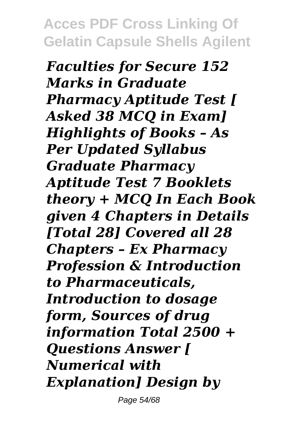*Faculties for Secure 152 Marks in Graduate Pharmacy Aptitude Test [ Asked 38 MCQ in Exam] Highlights of Books – As Per Updated Syllabus Graduate Pharmacy Aptitude Test 7 Booklets theory + MCQ In Each Book given 4 Chapters in Details [Total 28] Covered all 28 Chapters – Ex Pharmacy Profession & Introduction to Pharmaceuticals, Introduction to dosage form, Sources of drug information Total 2500 + Questions Answer [ Numerical with Explanation] Design by*

Page 54/68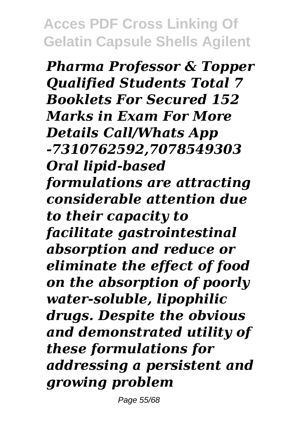*Pharma Professor & Topper Qualified Students Total 7 Booklets For Secured 152 Marks in Exam For More Details Call/Whats App -7310762592,7078549303 Oral lipid-based formulations are attracting considerable attention due to their capacity to facilitate gastrointestinal absorption and reduce or eliminate the effect of food on the absorption of poorly water-soluble, lipophilic drugs. Despite the obvious and demonstrated utility of these formulations for addressing a persistent and growing problem*

Page 55/68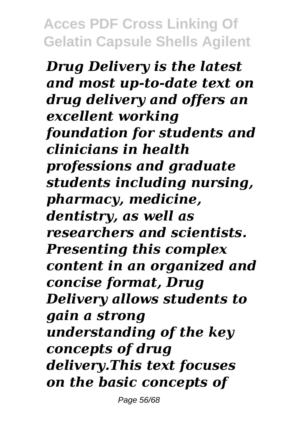*Drug Delivery is the latest and most up-to-date text on drug delivery and offers an excellent working foundation for students and clinicians in health professions and graduate students including nursing, pharmacy, medicine, dentistry, as well as researchers and scientists. Presenting this complex content in an organized and concise format, Drug Delivery allows students to gain a strong understanding of the key concepts of drug delivery.This text focuses on the basic concepts of*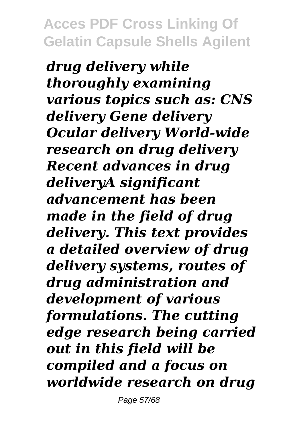*drug delivery while thoroughly examining various topics such as: CNS delivery Gene delivery Ocular delivery World-wide research on drug delivery Recent advances in drug deliveryA significant advancement has been made in the field of drug delivery. This text provides a detailed overview of drug delivery systems, routes of drug administration and development of various formulations. The cutting edge research being carried out in this field will be compiled and a focus on worldwide research on drug*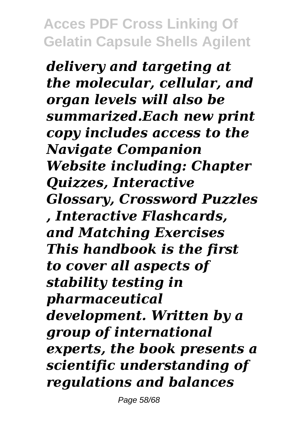*delivery and targeting at the molecular, cellular, and organ levels will also be summarized.Each new print copy includes access to the Navigate Companion Website including: Chapter Quizzes, Interactive Glossary, Crossword Puzzles , Interactive Flashcards, and Matching Exercises This handbook is the first to cover all aspects of stability testing in pharmaceutical development. Written by a group of international experts, the book presents a scientific understanding of regulations and balances*

Page 58/68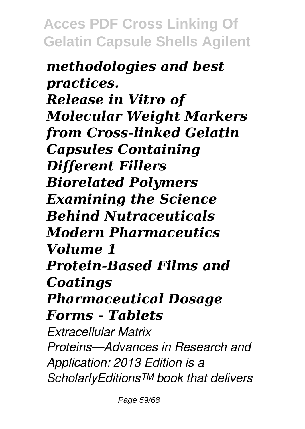*methodologies and best practices. Release in Vitro of Molecular Weight Markers from Cross-linked Gelatin Capsules Containing Different Fillers Biorelated Polymers Examining the Science Behind Nutraceuticals Modern Pharmaceutics Volume 1 Protein-Based Films and Coatings Pharmaceutical Dosage Forms - Tablets Extracellular Matrix Proteins—Advances in Research and Application: 2013 Edition is a ScholarlyEditions™ book that delivers*

Page 59/68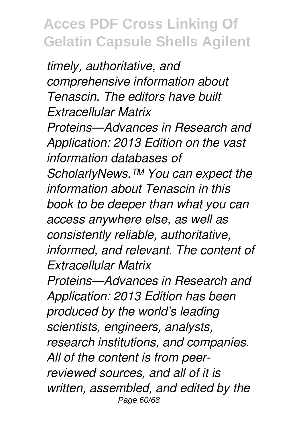*timely, authoritative, and comprehensive information about Tenascin. The editors have built Extracellular Matrix Proteins—Advances in Research and Application: 2013 Edition on the vast information databases of ScholarlyNews.™ You can expect the information about Tenascin in this book to be deeper than what you can access anywhere else, as well as consistently reliable, authoritative, informed, and relevant. The content of Extracellular Matrix*

*Proteins—Advances in Research and Application: 2013 Edition has been produced by the world's leading scientists, engineers, analysts, research institutions, and companies. All of the content is from peerreviewed sources, and all of it is written, assembled, and edited by the* Page 60/68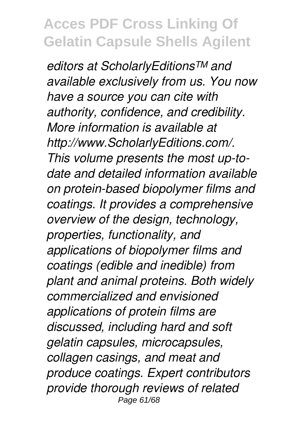*editors at ScholarlyEditions™ and available exclusively from us. You now have a source you can cite with authority, confidence, and credibility. More information is available at http://www.ScholarlyEditions.com/. This volume presents the most up-todate and detailed information available on protein-based biopolymer films and coatings. It provides a comprehensive overview of the design, technology, properties, functionality, and applications of biopolymer films and coatings (edible and inedible) from plant and animal proteins. Both widely commercialized and envisioned applications of protein films are discussed, including hard and soft gelatin capsules, microcapsules, collagen casings, and meat and produce coatings. Expert contributors provide thorough reviews of related* Page 61/68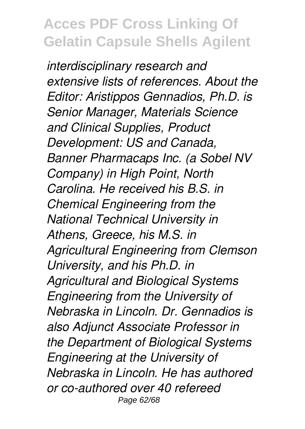*interdisciplinary research and extensive lists of references. About the Editor: Aristippos Gennadios, Ph.D. is Senior Manager, Materials Science and Clinical Supplies, Product Development: US and Canada, Banner Pharmacaps Inc. (a Sobel NV Company) in High Point, North Carolina. He received his B.S. in Chemical Engineering from the National Technical University in Athens, Greece, his M.S. in Agricultural Engineering from Clemson University, and his Ph.D. in Agricultural and Biological Systems Engineering from the University of Nebraska in Lincoln. Dr. Gennadios is also Adjunct Associate Professor in the Department of Biological Systems Engineering at the University of Nebraska in Lincoln. He has authored or co-authored over 40 refereed* Page 62/68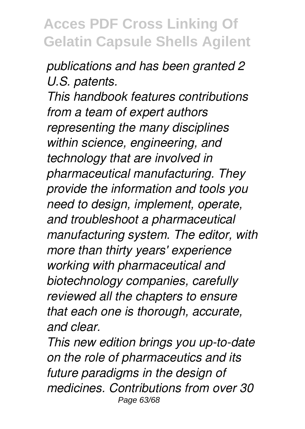*publications and has been granted 2 U.S. patents.*

*This handbook features contributions from a team of expert authors representing the many disciplines within science, engineering, and technology that are involved in pharmaceutical manufacturing. They provide the information and tools you need to design, implement, operate, and troubleshoot a pharmaceutical manufacturing system. The editor, with more than thirty years' experience working with pharmaceutical and biotechnology companies, carefully reviewed all the chapters to ensure that each one is thorough, accurate, and clear.*

*This new edition brings you up-to-date on the role of pharmaceutics and its future paradigms in the design of medicines. Contributions from over 30* Page 63/68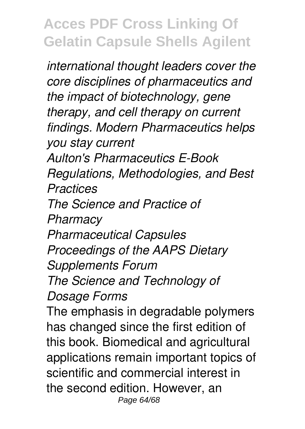*international thought leaders cover the core disciplines of pharmaceutics and the impact of biotechnology, gene therapy, and cell therapy on current findings. Modern Pharmaceutics helps you stay current Aulton's Pharmaceutics E-Book Regulations, Methodologies, and Best Practices The Science and Practice of Pharmacy Pharmaceutical Capsules Proceedings of the AAPS Dietary Supplements Forum The Science and Technology of Dosage Forms* The emphasis in degradable polymers has changed since the first edition of this book. Biomedical and agricultural applications remain important topics of scientific and commercial interest in the second edition. However, an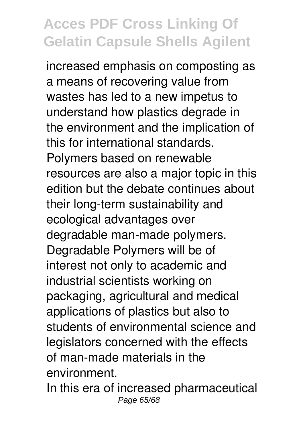increased emphasis on composting as a means of recovering value from wastes has led to a new impetus to understand how plastics degrade in the environment and the implication of this for international standards. Polymers based on renewable resources are also a major topic in this edition but the debate continues about their long-term sustainability and ecological advantages over degradable man-made polymers. Degradable Polymers will be of interest not only to academic and industrial scientists working on packaging, agricultural and medical applications of plastics but also to students of environmental science and legislators concerned with the effects of man-made materials in the environment.

In this era of increased pharmaceutical Page 65/68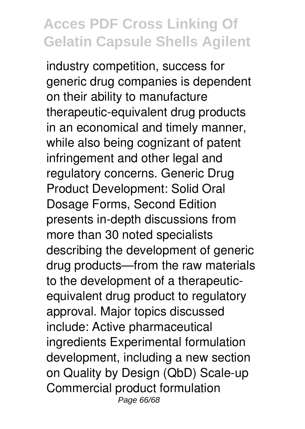industry competition, success for generic drug companies is dependent on their ability to manufacture therapeutic-equivalent drug products in an economical and timely manner, while also being cognizant of patent infringement and other legal and regulatory concerns. Generic Drug Product Development: Solid Oral Dosage Forms, Second Edition presents in-depth discussions from more than 30 noted specialists describing the development of generic drug products—from the raw materials to the development of a therapeuticequivalent drug product to regulatory approval. Major topics discussed include: Active pharmaceutical ingredients Experimental formulation development, including a new section on Quality by Design (QbD) Scale-up Commercial product formulation Page 66/68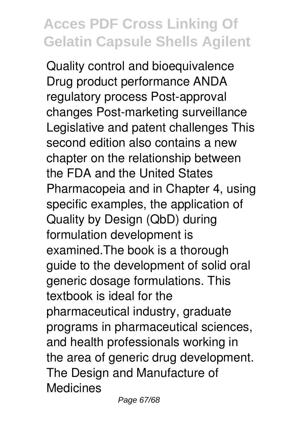Quality control and bioequivalence Drug product performance ANDA regulatory process Post-approval changes Post-marketing surveillance Legislative and patent challenges This second edition also contains a new chapter on the relationship between the FDA and the United States Pharmacopeia and in Chapter 4, using specific examples, the application of Quality by Design (QbD) during formulation development is examined.The book is a thorough guide to the development of solid oral generic dosage formulations. This textbook is ideal for the pharmaceutical industry, graduate programs in pharmaceutical sciences, and health professionals working in the area of generic drug development. The Design and Manufacture of Medicines

Page 67/68